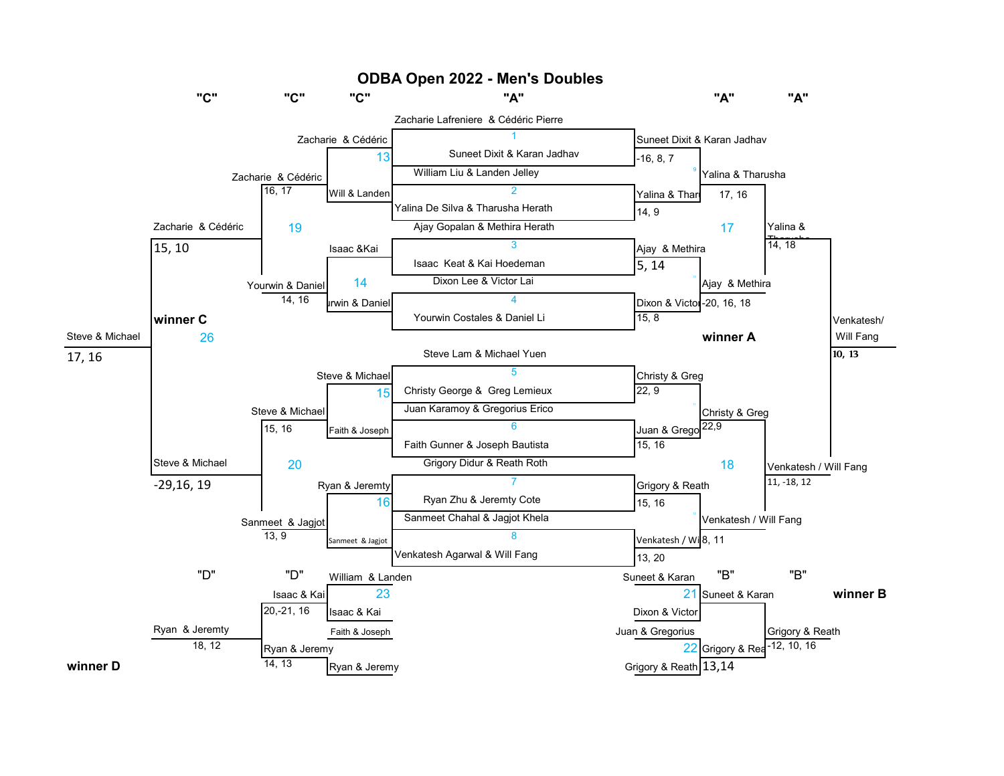